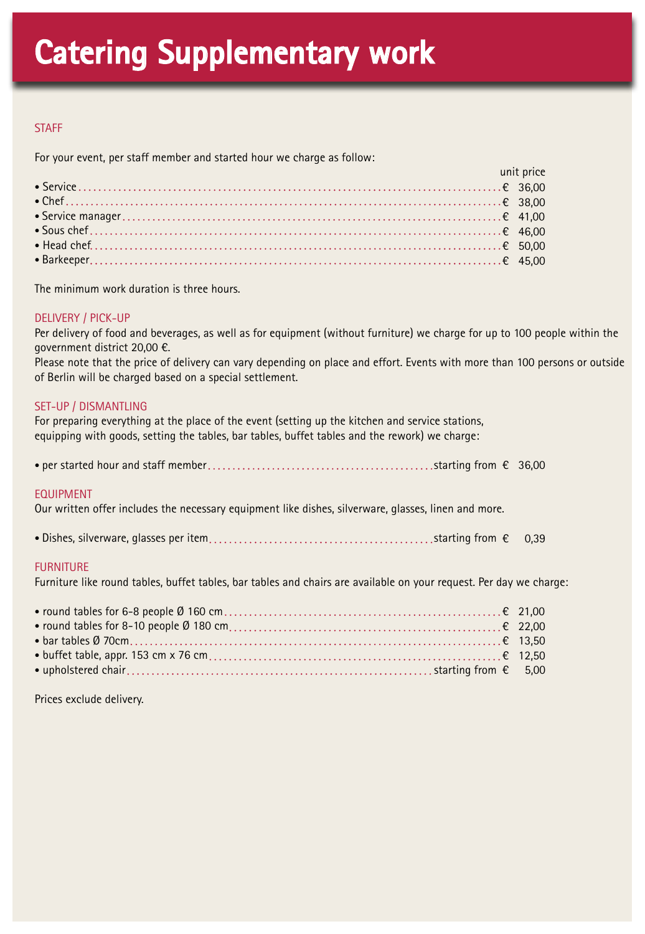## **STAFF**

For your event, per staff member and started hour we charge as follow:

| and the contract of the contract of the contract of the contract of the contract of the contract of the contra |  |
|----------------------------------------------------------------------------------------------------------------|--|
|                                                                                                                |  |
|                                                                                                                |  |
|                                                                                                                |  |
|                                                                                                                |  |
|                                                                                                                |  |
|                                                                                                                |  |

The minimum work duration is three hours.

## DELIVERY / PICK-UP

Per delivery of food and beverages, as well as for equipment (without furniture) we charge for up to 100 people within the government district 20,00 €.

Please note that the price of delivery can vary depending on place and effort. Events with more than 100 persons or outside of Berlin will be charged based on a special settlement.

## SET-UP / DISMANTLING

For preparing everything at the place of the event (setting up the kitchen and service stations, equipping with goods, setting the tables, bar tables, buffet tables and the rework) we charge:

|--|--|--|--|

#### EQUIPMENT

Our written offer includes the necessary equipment like dishes, silverware, glasses, linen and more.

• Dishes, silverware, glasses per item starting from € 0,39

## FURNITURE

Furniture like round tables, buffet tables, bar tables and chairs are available on your request. Per day we charge:

Prices exclude delivery.